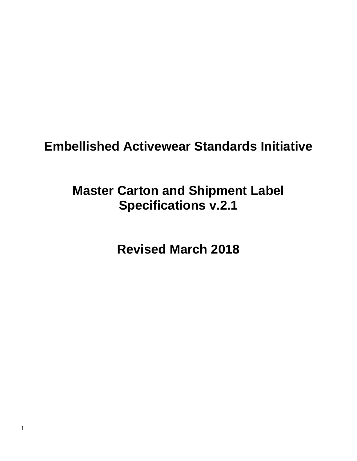# **Embellished Activewear Standards Initiative**

# **Master Carton and Shipment Label Specifications v.2.1**

**Revised March 2018**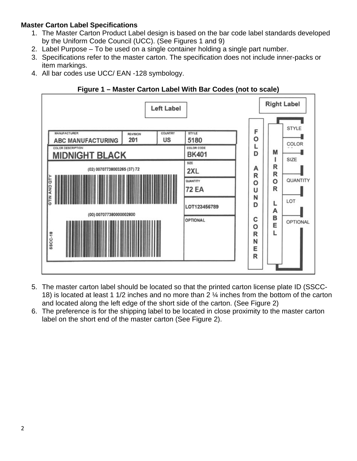## **Master Carton Label Specifications**

- 1. The Master Carton Product Label design is based on the bar code label standards developed by the Uniform Code Council (UCC). (See Figures 1 and 9)
- 2. Label Purpose To be used on a single container holding a single part number.
- 3. Specifications refer to the master carton. The specification does not include inner-packs or item markings.
- 4. All bar codes use UCC/ EAN -128 symbology.





- 5. The master carton label should be located so that the printed carton license plate ID (SSCC-18) is located at least 1 1/2 inches and no more than 2 ¼ inches from the bottom of the carton and located along the left edge of the short side of the carton. (See Figure 2)
- 6. The preference is for the shipping label to be located in close proximity to the master carton label on the short end of the master carton (See Figure 2).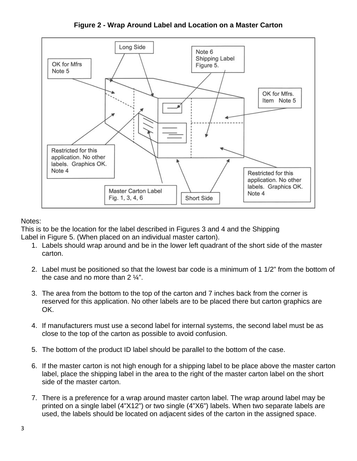**Figure 2 - Wrap Around Label and Location on a Master Carton**



# Notes:

This is to be the location for the label described in Figures 3 and 4 and the Shipping Label in Figure 5. (When placed on an individual master carton).

- 1. Labels should wrap around and be in the lower left quadrant of the short side of the master carton.
- 2. Label must be positioned so that the lowest bar code is a minimum of 1 1/2" from the bottom of the case and no more than 2  $\frac{1}{4}$ ".
- 3. The area from the bottom to the top of the carton and 7 inches back from the corner is reserved for this application. No other labels are to be placed there but carton graphics are OK.
- 4. If manufacturers must use a second label for internal systems, the second label must be as close to the top of the carton as possible to avoid confusion.
- 5. The bottom of the product ID label should be parallel to the bottom of the case.
- 6. If the master carton is not high enough for a shipping label to be place above the master carton label, place the shipping label in the area to the right of the master carton label on the short side of the master carton.
- 7. There is a preference for a wrap around master carton label. The wrap around label may be printed on a single label (4"X12") or two single (4"X6") labels. When two separate labels are used, the labels should be located on adjacent sides of the carton in the assigned space.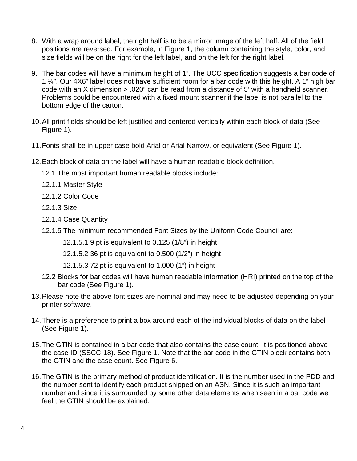- 8. With a wrap around label, the right half is to be a mirror image of the left half. All of the field positions are reversed. For example, in Figure 1, the column containing the style, color, and size fields will be on the right for the left label, and on the left for the right label.
- 9. The bar codes will have a minimum height of 1". The UCC specification suggests a bar code of 1 ¼". Our 4X6" label does not have sufficient room for a bar code with this height. A 1" high bar code with an X dimension > .020" can be read from a distance of 5' with a handheld scanner. Problems could be encountered with a fixed mount scanner if the label is not parallel to the bottom edge of the carton.
- 10.All print fields should be left justified and centered vertically within each block of data (See Figure 1).
- 11.Fonts shall be in upper case bold Arial or Arial Narrow, or equivalent (See Figure 1).
- 12.Each block of data on the label will have a human readable block definition.
	- 12.1 The most important human readable blocks include:
	- 12.1.1 Master Style
	- 12.1.2 Color Code
	- 12.1.3 Size
	- 12.1.4 Case Quantity
	- 12.1.5 The minimum recommended Font Sizes by the Uniform Code Council are:
		- 12.1.5.1 9 pt is equivalent to 0.125 (1/8") in height
		- 12.1.5.2 36 pt is equivalent to 0.500 (1/2") in height
		- 12.1.5.3 72 pt is equivalent to 1.000 (1") in height
	- 12.2 Blocks for bar codes will have human readable information (HRI) printed on the top of the bar code (See Figure 1).
- 13.Please note the above font sizes are nominal and may need to be adjusted depending on your printer software.
- 14.There is a preference to print a box around each of the individual blocks of data on the label (See Figure 1).
- 15.The GTIN is contained in a bar code that also contains the case count. It is positioned above the case ID (SSCC-18). See Figure 1. Note that the bar code in the GTIN block contains both the GTIN and the case count. See Figure 6.
- 16.The GTIN is the primary method of product identification. It is the number used in the PDD and the number sent to identify each product shipped on an ASN. Since it is such an important number and since it is surrounded by some other data elements when seen in a bar code we feel the GTIN should be explained.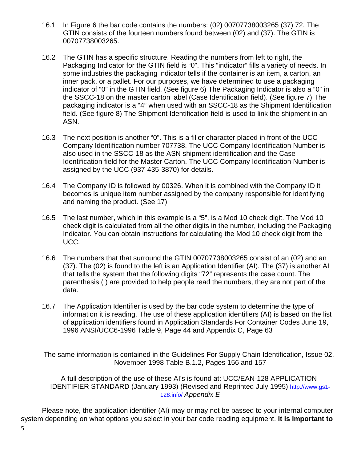- 16.1 In Figure 6 the bar code contains the numbers: (02) 00707738003265 (37) 72. The GTIN consists of the fourteen numbers found between (02) and (37). The GTIN is 00707738003265.
- 16.2 The GTIN has a specific structure. Reading the numbers from left to right, the Packaging Indicator for the GTIN field is "0". This "indicator" fills a variety of needs. In some industries the packaging indicator tells if the container is an item, a carton, an inner pack, or a pallet. For our purposes, we have determined to use a packaging indicator of "0" in the GTIN field. (See figure 6) The Packaging Indicator is also a "0" in the SSCC-18 on the master carton label (Case Identification field). (See figure 7) The packaging indicator is a "4" when used with an SSCC-18 as the Shipment Identification field. (See figure 8) The Shipment Identification field is used to link the shipment in an ASN.
- 16.3 The next position is another "0". This is a filler character placed in front of the UCC Company Identification number 707738. The UCC Company Identification Number is also used in the SSCC-18 as the ASN shipment identification and the Case Identification field for the Master Carton. The UCC Company Identification Number is assigned by the UCC (937-435-3870) for details.
- 16.4 The Company ID is followed by 00326. When it is combined with the Company ID it becomes is unique item number assigned by the company responsible for identifying and naming the product. (See 17)
- 16.5 The last number, which in this example is a "5", is a Mod 10 check digit. The Mod 10 check digit is calculated from all the other digits in the number, including the Packaging Indicator. You can obtain instructions for calculating the Mod 10 check digit from the UCC.
- 16.6 The numbers that that surround the GTIN 00707738003265 consist of an (02) and an (37). The (02) is found to the left is an Application Identifier (AI). The (37) is another AI that tells the system that the following digits "72" represents the case count. The parenthesis ( ) are provided to help people read the numbers, they are not part of the data.
- 16.7 The Application Identifier is used by the bar code system to determine the type of information it is reading. The use of these application identifiers (AI) is based on the list of application identifiers found in Application Standards For Container Codes June 19, 1996 ANSI/UCC6-1996 Table 9, Page 44 and Appendix C, Page 63

The same information is contained in the Guidelines For Supply Chain Identification, Issue 02, November 1998 Table B.1.2, Pages 156 and 157

A full description of the use of these AI's is found at: UCC/EAN-128 APPLICATION IDENTIFIER STANDARD (January 1993) (Revised and Reprinted July 1995) [http://www.gs1-](http://www.gs1-128.info/) [128.info/](http://www.gs1-128.info/) *Appendix E*

Please note, the application identifier (AI) may or may not be passed to your internal computer system depending on what options you select in your bar code reading equipment. **It is important to**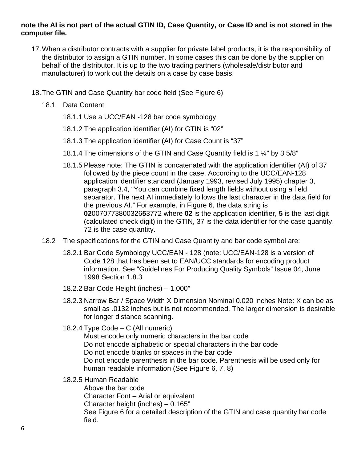#### **note the AI is not part of the actual GTIN ID, Case Quantity, or Case ID and is not stored in the computer file.**

- 17.When a distributor contracts with a supplier for private label products, it is the responsibility of the distributor to assign a GTIN number. In some cases this can be done by the supplier on behalf of the distributor. It is up to the two trading partners (wholesale/distributor and manufacturer) to work out the details on a case by case basis.
- 18.The GTIN and Case Quantity bar code field (See Figure 6)
	- 18.1 Data Content
		- 18.1.1 Use a UCC/EAN -128 bar code symbology
		- 18.1.2 The application identifier (AI) for GTIN is "02"
		- 18.1.3 The application identifier (AI) for Case Count is "37"
		- 18.1.4 The dimensions of the GTIN and Case Quantity field is 1 ¼" by 3 5/8"
		- 18.1.5 Please note: The GTIN is concatenated with the application identifier (AI) of 37 followed by the piece count in the case. According to the UCC/EAN-128 application identifier standard (January 1993, revised July 1995) chapter 3, paragraph 3.4, "You can combine fixed length fields without using a field separator. The next AI immediately follows the last character in the data field for the previous AI." For example, in Figure 6, the data string is **02**0070773800326**5**3772 where **02** is the application identifier, **5** is the last digit (calculated check digit) in the GTIN, 37 is the data identifier for the case quantity, 72 is the case quantity.
	- 18.2 The specifications for the GTIN and Case Quantity and bar code symbol are:
		- 18.2.1 Bar Code Symbology UCC/EAN 128 (note: UCC/EAN-128 is a version of Code 128 that has been set to EAN/UCC standards for encoding product information. See "Guidelines For Producing Quality Symbols" Issue 04, June 1998 Section 1.8.3
		- 18.2.2 Bar Code Height (inches) 1.000"
		- 18.2.3 Narrow Bar / Space Width X Dimension Nominal 0.020 inches Note: X can be as small as .0132 inches but is not recommended. The larger dimension is desirable for longer distance scanning.
		- 18.2.4 Type Code C (All numeric)

Must encode only numeric characters in the bar code Do not encode alphabetic or special characters in the bar code Do not encode blanks or spaces in the bar code Do not encode parenthesis in the bar code. Parenthesis will be used only for human readable information (See Figure 6, 7, 8)

18.2.5 Human Readable

Above the bar code Character Font – Arial or equivalent Character height (inches) – 0.165" See Figure 6 for a detailed description of the GTIN and case quantity bar code field.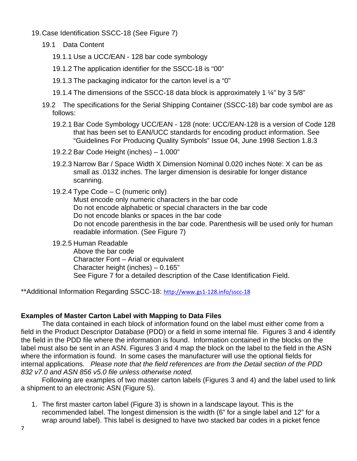- 19.Case Identification SSCC-18 (See Figure 7)
	- 19.1 Data Content
		- 19.1.1 Use a UCC/EAN 128 bar code symbology
		- 19.1.2 The application identifier for the SSCC-18 is "00"
		- 19.1.3 The packaging indicator for the carton level is a "0"
		- 19.1.4 The dimensions of the SSCC-18 data block is approximately 1 ¼" by 3 5/8"
	- 19.2 The specifications for the Serial Shipping Container (SSCC-18) bar code symbol are as follows:
		- 19.2.1 Bar Code Symbology UCC/EAN 128 (note: UCC/EAN-128 is a version of Code 128 that has been set to EAN/UCC standards for encoding product information. See "Guidelines For Producing Quality Symbols" Issue 04, June 1998 Section 1.8.3
		- 19.2.2 Bar Code Height (inches) 1.000"
		- 19.2.3 Narrow Bar / Space Width X Dimension Nominal 0.020 inches Note: X can be as small as .0132 inches. The larger dimension is desirable for longer distance scanning.
		- 19.2.4 Type Code C (numeric only)
			- Must encode only numeric characters in the bar code Do not encode alphabetic or special characters in the bar code Do not encode blanks or spaces in the bar code Do not encode parenthesis in the bar code. Parenthesis will be used only for human readable information. (See Figure 7)

19.2.5 Human Readable

Above the bar code Character Font – Arial or equivalent Character height (inches) – 0.165" See Figure 7 for a detailed description of the Case Identification Field.

\*\*Additional Information Regarding SSCC-18: <http://www.gs1-128.info/sscc-18>

### **Examples of Master Carton Label with Mapping to Data Files**

The data contained in each block of information found on the label must either come from a field in the Product Descriptor Database (PDD) or a field in some internal file. Figures 3 and 4 identify the field in the PDD file where the information is found. Information contained in the blocks on the label must also be sent in an ASN. Figures 3 and 4 map the block on the label to the field in the ASN where the information is found. In some cases the manufacturer will use the optional fields for internal applications. *Please note that the field references are from the Detail section of the PDD 832 v7.0 and ASN 856 v5.0 file unless otherwise noted.* 

Following are examples of two master carton labels (Figures 3 and 4) and the label used to link a shipment to an electronic ASN (Figure 5).

1. The first master carton label (Figure 3) is shown in a landscape layout. This is the recommended label. The longest dimension is the width (6" for a single label and 12" for a wrap around label). This label is designed to have two stacked bar codes in a picket fence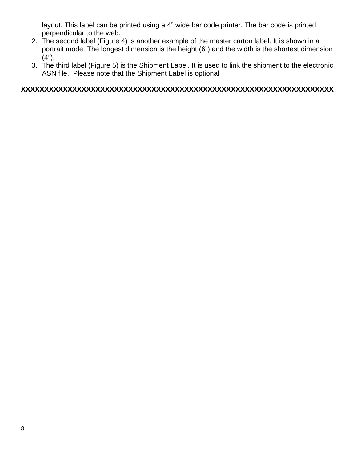layout. This label can be printed using a 4" wide bar code printer. The bar code is printed perpendicular to the web.

- 2. The second label (Figure 4) is another example of the master carton label. It is shown in a portrait mode. The longest dimension is the height (6") and the width is the shortest dimension (4").
- 3. The third label (Figure 5) is the Shipment Label. It is used to link the shipment to the electronic ASN file. Please note that the Shipment Label is optional

## **XXXXXXXXXXXXXXXXXXXXXXXXXXXXXXXXXXXXXXXXXXXXXXXXXXXXXXXXXXXXXXXXXXX**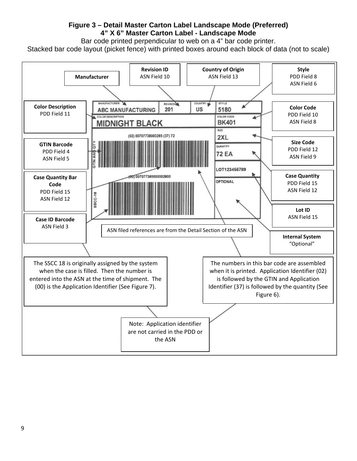#### **Figure 3 – Detail Master Carton Label Landscape Mode (Preferred) 4" X 6" Master Carton Label - Landscape Mode**

Bar code printed perpendicular to web on a 4" bar code printer.

Stacked bar code layout (picket fence) with printed boxes around each block of data (not to scale)

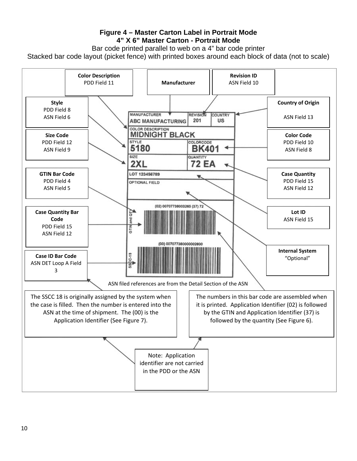### **Figure 4 – Master Carton Label in Portrait Mode 4" X 6" Master Carton - Portrait Mode**

Bar code printed parallel to web on a 4" bar code printer

Stacked bar code layout (picket fence) with printed boxes around each block of data (not to scale)

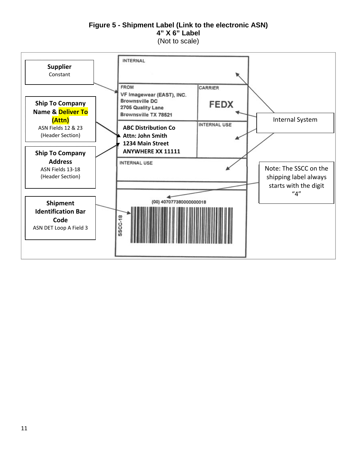#### **Figure 5 - Shipment Label (Link to the electronic ASN) 4" X 6" Label** (Not to scale)

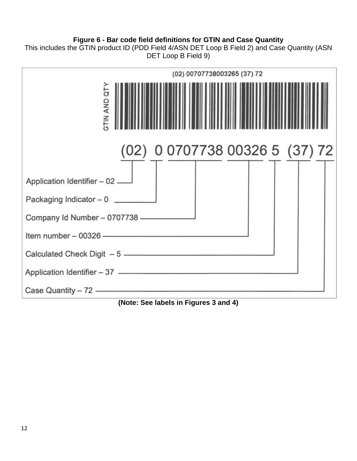# **Figure 6 - Bar code field definitions for GTIN and Case Quantity**

This includes the GTIN product ID (PDD Field 4/ASN DET Loop B Field 2) and Case Quantity (ASN DET Loop B Field 9)



**(Note: See labels in Figures 3 and 4)**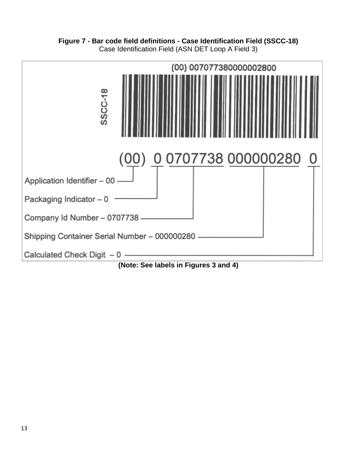**Figure 7 - Bar code field definitions - Case Identification Field (SSCC-18)** Case Identification Field (ASN DET Loop A Field 3)

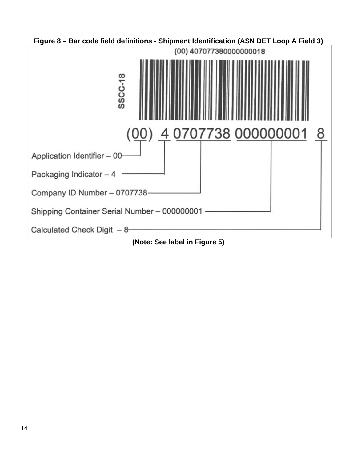